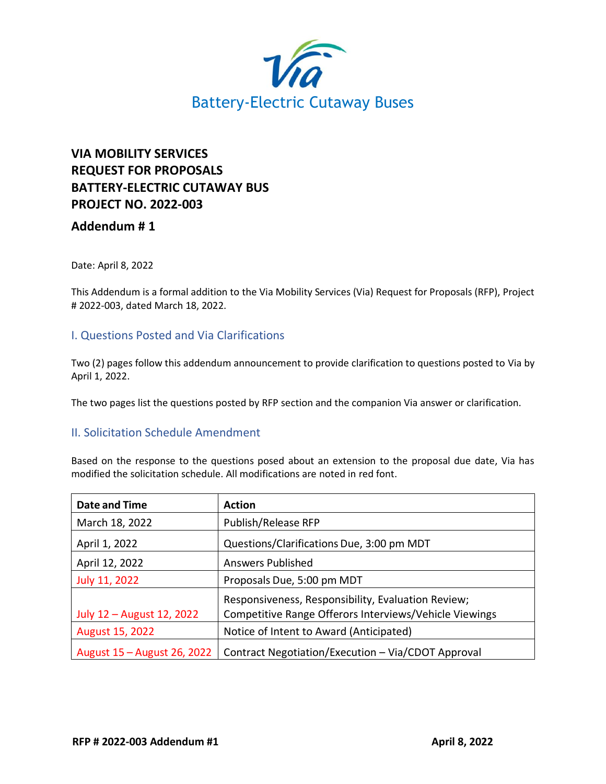

## **VIA MOBILITY SERVICES REQUEST FOR PROPOSALS BATTERY-ELECTRIC CUTAWAY BUS PROJECT NO. 2022-003**

## **Addendum # 1**

Date: April 8, 2022

This Addendum is a formal addition to the Via Mobility Services (Via) Request for Proposals (RFP), Project # 2022-003, dated March 18, 2022.

## I. Questions Posted and Via Clarifications

Two (2) pages follow this addendum announcement to provide clarification to questions posted to Via by April 1, 2022.

The two pages list the questions posted by RFP section and the companion Via answer or clarification.

## II. Solicitation Schedule Amendment

Based on the response to the questions posed about an extension to the proposal due date, Via has modified the solicitation schedule. All modifications are noted in red font.

| <b>Date and Time</b>        | <b>Action</b>                                          |
|-----------------------------|--------------------------------------------------------|
| March 18, 2022              | Publish/Release RFP                                    |
| April 1, 2022               | Questions/Clarifications Due, 3:00 pm MDT              |
| April 12, 2022              | <b>Answers Published</b>                               |
| July 11, 2022               | Proposals Due, 5:00 pm MDT                             |
|                             | Responsiveness, Responsibility, Evaluation Review;     |
| July 12 - August 12, 2022   | Competitive Range Offerors Interviews/Vehicle Viewings |
| August 15, 2022             | Notice of Intent to Award (Anticipated)                |
| August 15 - August 26, 2022 | Contract Negotiation/Execution - Via/CDOT Approval     |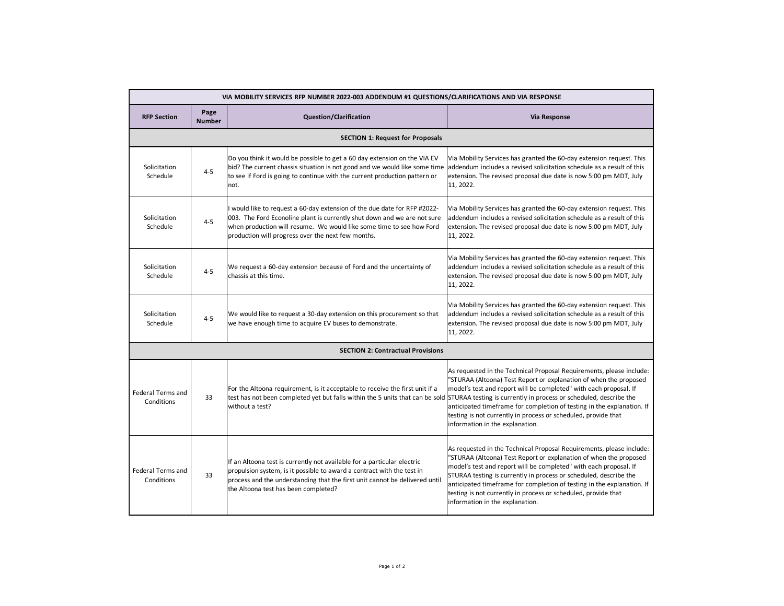| VIA MOBILITY SERVICES RFP NUMBER 2022-003 ADDENDUM #1 QUESTIONS/CLARIFICATIONS AND VIA RESPONSE |                                         |                                                                                                                                                                                                                                                                                     |                                                                                                                                                                                                                                                                                                                                                                                                                                                                    |  |  |  |
|-------------------------------------------------------------------------------------------------|-----------------------------------------|-------------------------------------------------------------------------------------------------------------------------------------------------------------------------------------------------------------------------------------------------------------------------------------|--------------------------------------------------------------------------------------------------------------------------------------------------------------------------------------------------------------------------------------------------------------------------------------------------------------------------------------------------------------------------------------------------------------------------------------------------------------------|--|--|--|
| <b>RFP Section</b>                                                                              | Page<br><b>Number</b>                   | <b>Question/Clarification</b>                                                                                                                                                                                                                                                       | Via Response                                                                                                                                                                                                                                                                                                                                                                                                                                                       |  |  |  |
|                                                                                                 | <b>SECTION 1: Request for Proposals</b> |                                                                                                                                                                                                                                                                                     |                                                                                                                                                                                                                                                                                                                                                                                                                                                                    |  |  |  |
| Solicitation<br>Schedule                                                                        | $4 - 5$                                 | Do you think it would be possible to get a 60 day extension on the VIA EV<br>bid? The current chassis situation is not good and we would like some time<br>to see if Ford is going to continue with the current production pattern or<br>not.                                       | Via Mobility Services has granted the 60-day extension request. This<br>addendum includes a revised solicitation schedule as a result of this<br>extension. The revised proposal due date is now 5:00 pm MDT, July<br>11, 2022.                                                                                                                                                                                                                                    |  |  |  |
| Solicitation<br>Schedule                                                                        | $4 - 5$                                 | I would like to request a 60-day extension of the due date for RFP #2022-<br>003. The Ford Econoline plant is currently shut down and we are not sure<br>when production will resume. We would like some time to see how Ford<br>production will progress over the next few months. | Via Mobility Services has granted the 60-day extension request. This<br>addendum includes a revised solicitation schedule as a result of this<br>extension. The revised proposal due date is now 5:00 pm MDT, July<br>11, 2022.                                                                                                                                                                                                                                    |  |  |  |
| Solicitation<br>Schedule                                                                        | $4 - 5$                                 | We request a 60-day extension because of Ford and the uncertainty of<br>chassis at this time.                                                                                                                                                                                       | Via Mobility Services has granted the 60-day extension request. This<br>addendum includes a revised solicitation schedule as a result of this<br>extension. The revised proposal due date is now 5:00 pm MDT, July<br>11, 2022.                                                                                                                                                                                                                                    |  |  |  |
| Solicitation<br>Schedule                                                                        | $4 - 5$                                 | We would like to request a 30-day extension on this procurement so that<br>we have enough time to acquire EV buses to demonstrate.                                                                                                                                                  | Via Mobility Services has granted the 60-day extension request. This<br>addendum includes a revised solicitation schedule as a result of this<br>extension. The revised proposal due date is now 5:00 pm MDT, July<br>11, 2022.                                                                                                                                                                                                                                    |  |  |  |
| <b>SECTION 2: Contractual Provisions</b>                                                        |                                         |                                                                                                                                                                                                                                                                                     |                                                                                                                                                                                                                                                                                                                                                                                                                                                                    |  |  |  |
| <b>Federal Terms and</b><br>Conditions                                                          | 33                                      | For the Altoona requirement, is it acceptable to receive the first unit if a<br>test has not been completed yet but falls within the 5 units that can be sold STURAA testing is currently in process or scheduled, describe the<br>without a test?                                  | As requested in the Technical Proposal Requirements, please include:<br>"STURAA (Altoona) Test Report or explanation of when the proposed<br>model's test and report will be completed" with each proposal. If<br>anticipated timeframe for completion of testing in the explanation. If<br>testing is not currently in process or scheduled, provide that<br>information in the explanation.                                                                      |  |  |  |
| <b>Federal Terms and</b><br>Conditions                                                          | 33                                      | If an Altoona test is currently not available for a particular electric<br>propulsion system, is it possible to award a contract with the test in<br>process and the understanding that the first unit cannot be delivered until<br>the Altoona test has been completed?            | As requested in the Technical Proposal Requirements, please include:<br>"STURAA (Altoona) Test Report or explanation of when the proposed<br>model's test and report will be completed" with each proposal. If<br>STURAA testing is currently in process or scheduled, describe the<br>anticipated timeframe for completion of testing in the explanation. If<br>testing is not currently in process or scheduled, provide that<br>information in the explanation. |  |  |  |